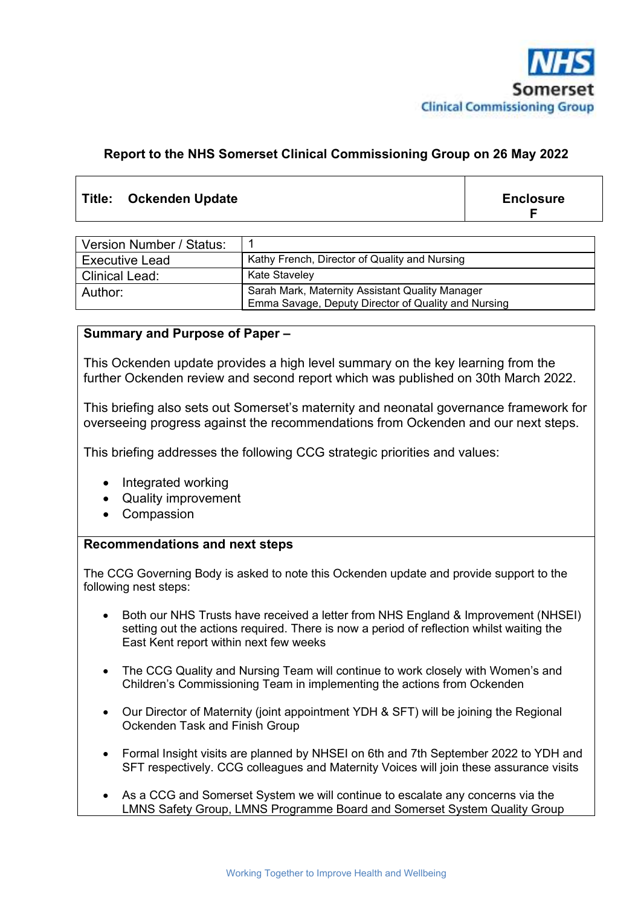

#### **Report to the NHS Somerset Clinical Commissioning Group on 26 May 2022**

### Title: Ockenden Update **Enclosure Enclosure**

**F**

| Version Number / Status: |                                                                                                        |
|--------------------------|--------------------------------------------------------------------------------------------------------|
| <b>Executive Lead</b>    | Kathy French, Director of Quality and Nursing                                                          |
| Clinical Lead:           | <b>Kate Staveley</b>                                                                                   |
| Author:                  | Sarah Mark, Maternity Assistant Quality Manager<br>Emma Savage, Deputy Director of Quality and Nursing |

#### **Summary and Purpose of Paper –**

This Ockenden update provides a high level summary on the key learning from the further Ockenden review and second report which was published on 30th March 2022.

This briefing also sets out Somerset's maternity and neonatal governance framework for overseeing progress against the recommendations from Ockenden and our next steps.

This briefing addresses the following CCG strategic priorities and values:

- Integrated working
- Quality improvement
- Compassion

#### **Recommendations and next steps**

The CCG Governing Body is asked to note this Ockenden update and provide support to the following nest steps:

- Both our NHS Trusts have received a letter from NHS England & Improvement (NHSEI) setting out the actions required. There is now a period of reflection whilst waiting the East Kent report within next few weeks
- The CCG Quality and Nursing Team will continue to work closely with Women's and Children's Commissioning Team in implementing the actions from Ockenden
- Our Director of Maternity (joint appointment YDH & SFT) will be joining the Regional Ockenden Task and Finish Group
- Formal Insight visits are planned by NHSEI on 6th and 7th September 2022 to YDH and SFT respectively. CCG colleagues and Maternity Voices will join these assurance visits
- As a CCG and Somerset System we will continue to escalate any concerns via the LMNS Safety Group, LMNS Programme Board and Somerset System Quality Group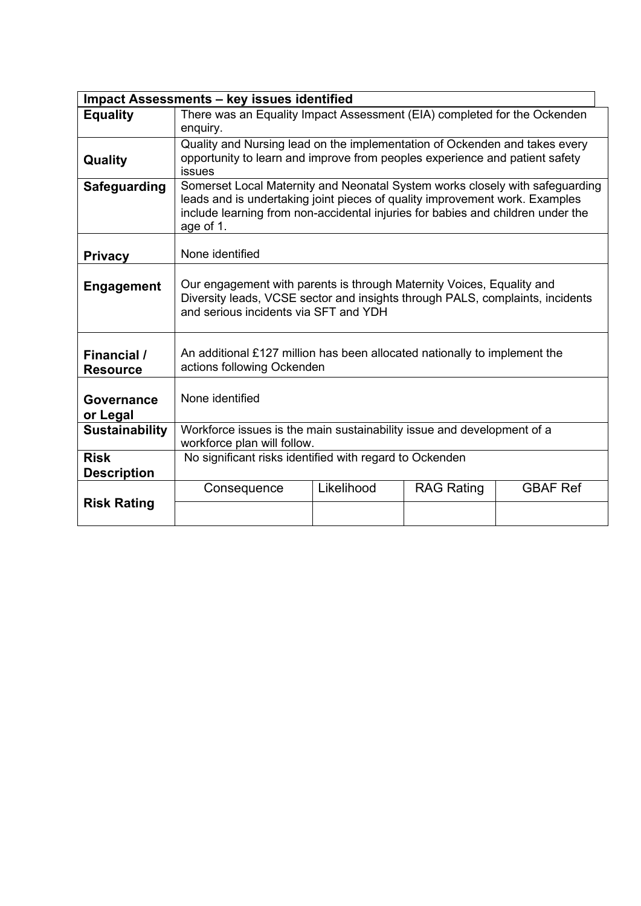|                       | <b>Impact Assessments - key issues identified</b>                                                                                                      |                                                                                                                                                             |                   |                 |  |  |  |
|-----------------------|--------------------------------------------------------------------------------------------------------------------------------------------------------|-------------------------------------------------------------------------------------------------------------------------------------------------------------|-------------------|-----------------|--|--|--|
| <b>Equality</b>       | There was an Equality Impact Assessment (EIA) completed for the Ockenden                                                                               |                                                                                                                                                             |                   |                 |  |  |  |
|                       | enquiry.                                                                                                                                               |                                                                                                                                                             |                   |                 |  |  |  |
|                       | Quality and Nursing lead on the implementation of Ockenden and takes every                                                                             |                                                                                                                                                             |                   |                 |  |  |  |
| Quality               | opportunity to learn and improve from peoples experience and patient safety                                                                            |                                                                                                                                                             |                   |                 |  |  |  |
|                       | <b>issues</b>                                                                                                                                          |                                                                                                                                                             |                   |                 |  |  |  |
| <b>Safeguarding</b>   |                                                                                                                                                        | Somerset Local Maternity and Neonatal System works closely with safeguarding<br>leads and is undertaking joint pieces of quality improvement work. Examples |                   |                 |  |  |  |
|                       | include learning from non-accidental injuries for babies and children under the                                                                        |                                                                                                                                                             |                   |                 |  |  |  |
|                       | age of 1.                                                                                                                                              |                                                                                                                                                             |                   |                 |  |  |  |
|                       |                                                                                                                                                        |                                                                                                                                                             |                   |                 |  |  |  |
| <b>Privacy</b>        | None identified                                                                                                                                        |                                                                                                                                                             |                   |                 |  |  |  |
|                       |                                                                                                                                                        |                                                                                                                                                             |                   |                 |  |  |  |
| <b>Engagement</b>     | Our engagement with parents is through Maternity Voices, Equality and<br>Diversity leads, VCSE sector and insights through PALS, complaints, incidents |                                                                                                                                                             |                   |                 |  |  |  |
|                       | and serious incidents via SFT and YDH                                                                                                                  |                                                                                                                                                             |                   |                 |  |  |  |
|                       |                                                                                                                                                        |                                                                                                                                                             |                   |                 |  |  |  |
|                       |                                                                                                                                                        |                                                                                                                                                             |                   |                 |  |  |  |
| Financial /           | An additional £127 million has been allocated nationally to implement the                                                                              |                                                                                                                                                             |                   |                 |  |  |  |
| <b>Resource</b>       | actions following Ockenden                                                                                                                             |                                                                                                                                                             |                   |                 |  |  |  |
|                       |                                                                                                                                                        |                                                                                                                                                             |                   |                 |  |  |  |
| Governance            | None identified                                                                                                                                        |                                                                                                                                                             |                   |                 |  |  |  |
| or Legal              |                                                                                                                                                        |                                                                                                                                                             |                   |                 |  |  |  |
| <b>Sustainability</b> | Workforce issues is the main sustainability issue and development of a                                                                                 |                                                                                                                                                             |                   |                 |  |  |  |
|                       | workforce plan will follow.                                                                                                                            |                                                                                                                                                             |                   |                 |  |  |  |
| <b>Risk</b>           | No significant risks identified with regard to Ockenden                                                                                                |                                                                                                                                                             |                   |                 |  |  |  |
| <b>Description</b>    |                                                                                                                                                        |                                                                                                                                                             |                   |                 |  |  |  |
|                       | Consequence                                                                                                                                            | Likelihood                                                                                                                                                  | <b>RAG Rating</b> | <b>GBAF Ref</b> |  |  |  |
| <b>Risk Rating</b>    |                                                                                                                                                        |                                                                                                                                                             |                   |                 |  |  |  |
|                       |                                                                                                                                                        |                                                                                                                                                             |                   |                 |  |  |  |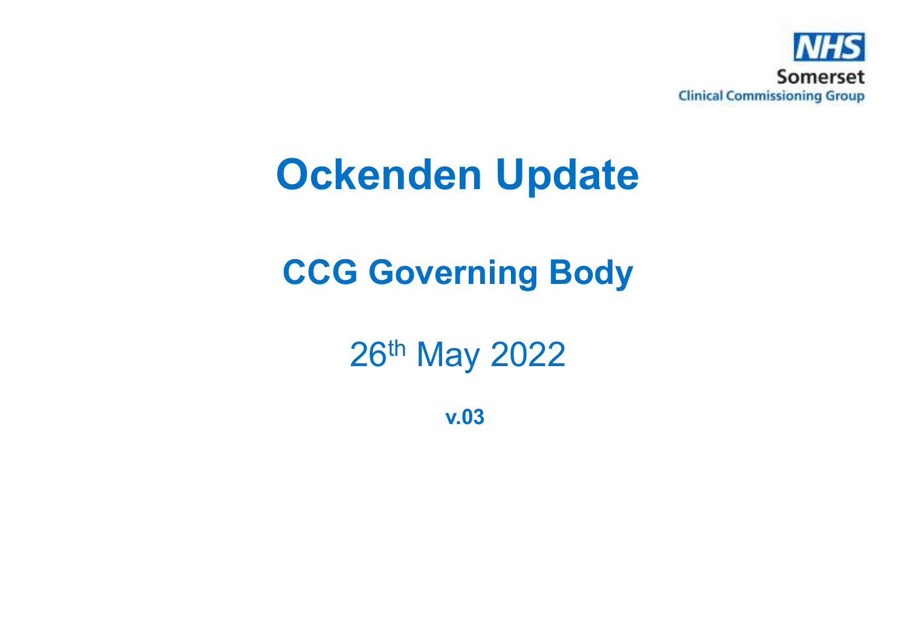

## **Ockenden Update**

### **CCG Governing Body**

26th May 2022

**v.03**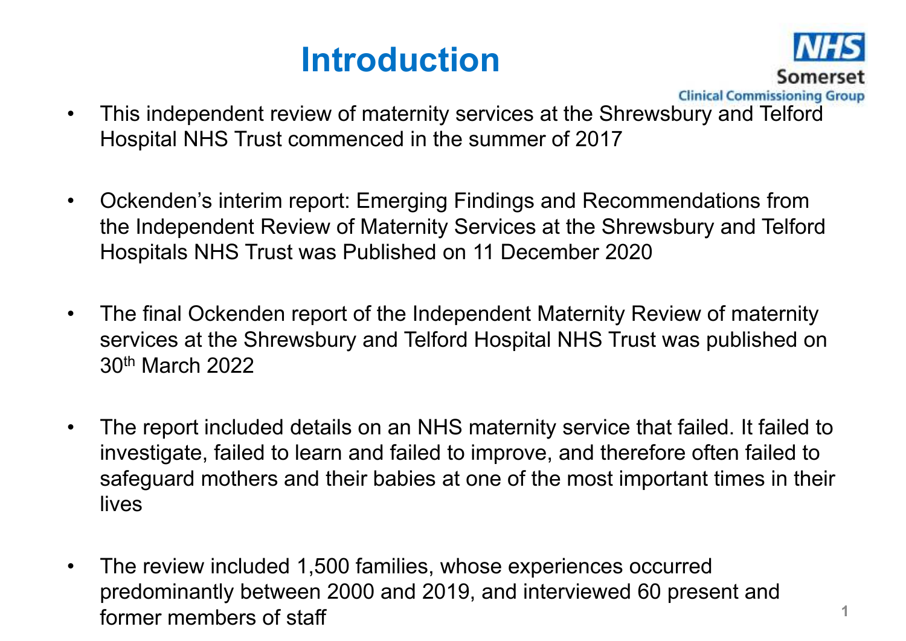### **Introduction**



- $\bullet$  This independent review of maternity services at the Shrewsbury and Telford Hospital NHS Trust commenced in the summer of 2017
- $\bullet$  Ockenden's interim report: Emerging Findings and Recommendations from the Independent Review of Maternity Services at the Shrewsbury and Telford Hospitals NHS Trust was Published on 11 December 2020
- $\bullet$  The final Ockenden report of the Independent Maternity Review of maternity services at the Shrewsbury and Telford Hospital NHS Trust was published on 30th March 2022
- • The report included details on an NHS maternity service that failed. It failed to investigate, failed to learn and failed to improve, and therefore often failed to safeguard mothers and their babies at one of the most important times in their lives
- $\bullet$  The review included 1,500 families, whose experiences occurred predominantly between 2000 and 2019, and interviewed 60 present and former members of staff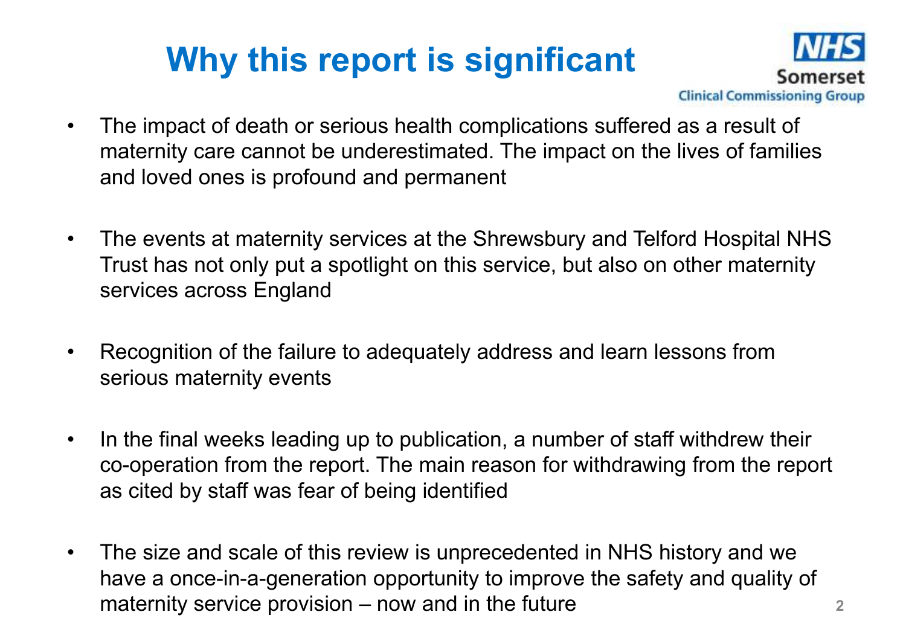## **Why this report is significant**



- • The impact of death or serious health complications suffered as a result of maternity care cannot be underestimated. The impact on the lives of families and loved ones is profound and permanent
- $\bullet$  The events at maternity services at the Shrewsbury and Telford Hospital NHS Trust has not only put a spotlight on this service, but also on other maternity services across England
- • Recognition of the failure to adequately address and learn lessons from serious maternity events
- • In the final weeks leading up to publication, a number of staff withdrew their co-operation from the report. The main reason for withdrawing from the report as cited by staff was fear of being identified
- $\bullet$  The size and scale of this review is unprecedented in NHS history and we have a once-in-a-generation opportunity to improve the safety and quality of maternity service provision – now and in the future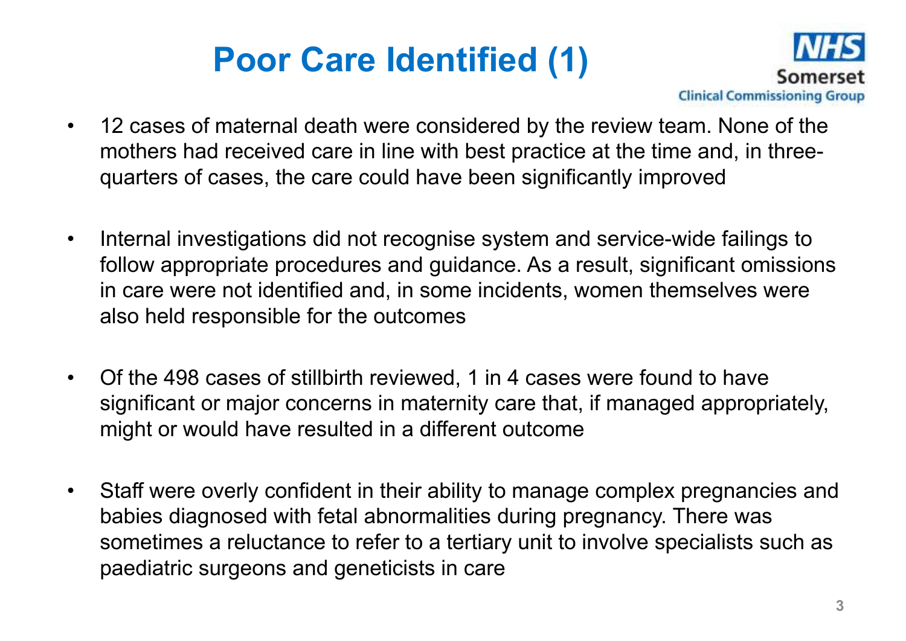## **Poor Care Identified (1)**



- $\bullet$  12 cases of maternal death were considered by the review team. None of the mothers had received care in line with best practice at the time and, in threequarters of cases, the care could have been significantly improved
- $\bullet$  Internal investigations did not recognise system and service-wide failings to follow appropriate procedures and guidance. As a result, significant omissions in care were not identified and, in some incidents, women themselves were also held responsible for the outcomes
- • Of the 498 cases of stillbirth reviewed, 1 in 4 cases were found to have significant or major concerns in maternity care that, if managed appropriately, might or would have resulted in a different outcome
- $\bullet$  Staff were overly confident in their ability to manage complex pregnancies and babies diagnosed with fetal abnormalities during pregnancy. There was sometimes a reluctance to refer to a tertiary unit to involve specialists such as paediatric surgeons and geneticists in care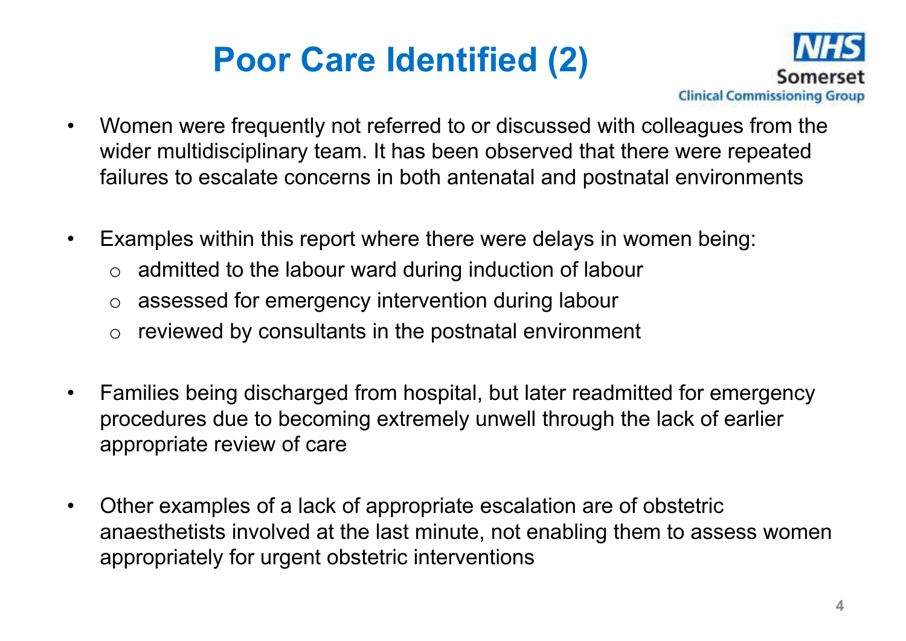## **Poor Care Identified (2)**



- • Women were frequently not referred to or discussed with colleagues from the wider multidisciplinary team. It has been observed that there were repeated failures to escalate concerns in both antenatal and postnatal environments
- • Examples within this report where there were delays in women being:
	- $\circ$  admitted to the labour ward during induction of labour
	- o assessed for emergency intervention during labour
	- $\circ$  reviewed by consultants in the postnatal environment
- $\bullet$  Families being discharged from hospital, but later readmitted for emergency procedures due to becoming extremely unwell through the lack of earlier appropriate review of care
- • Other examples of a lack of appropriate escalation are of obstetric anaesthetists involved at the last minute, not enabling them to assess women appropriately for urgent obstetric interventions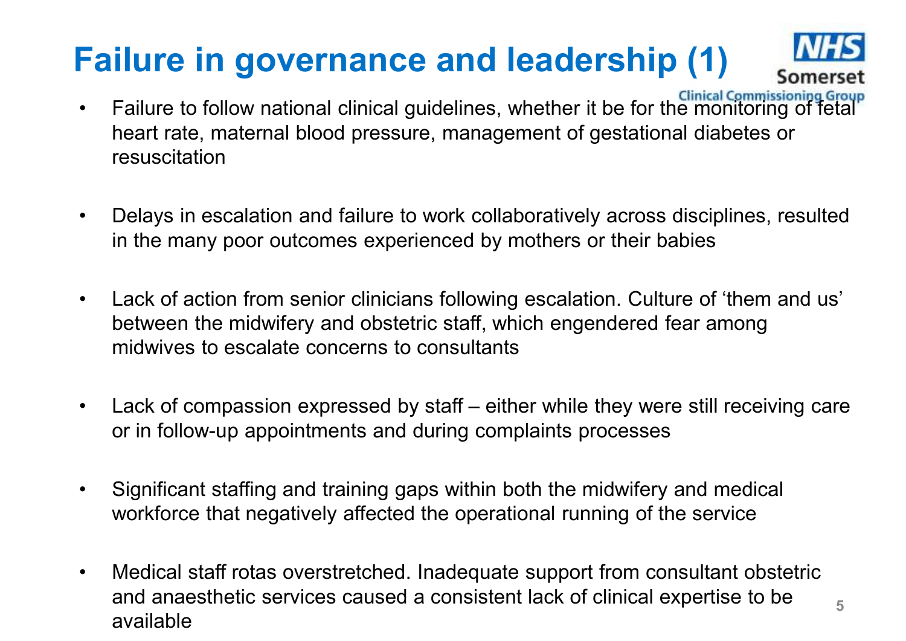## **Failure in governance and leadership (1)**



**5**

- •Failure to follow national clinical guidelines, whether it be for the monitoring of fetal heart rate, maternal blood pressure, management of gestational diabetes or resuscitation
- • Delays in escalation and failure to work collaboratively across disciplines, resulted in the many poor outcomes experienced by mothers or their babies
- $\bullet$  Lack of action from senior clinicians following escalation. Culture of 'them and us' between the midwifery and obstetric staff, which engendered fear among midwives to escalate concerns to consultants
- • Lack of compassion expressed by staff – either while they were still receiving care or in follow-up appointments and during complaints processes
- • Significant staffing and training gaps within both the midwifery and medical workforce that negatively affected the operational running of the service
- $\bullet$  Medical staff rotas overstretched. Inadequate support from consultant obstetric and anaesthetic services caused a consistent lack of clinical expertise to be available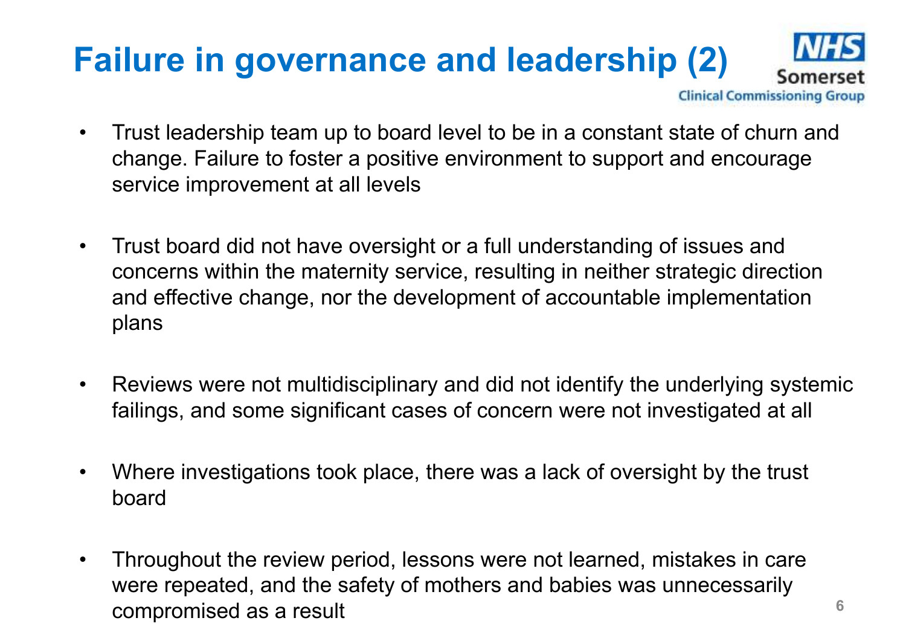### **Failure in governance and leadership (2)Clinical Commissioning Group**

- $\bullet$  Trust leadership team up to board level to be in a constant state of churn and change. Failure to foster a positive environment to support and encourage service improvement at all levels
- $\bullet$  Trust board did not have oversight or a full understanding of issues and concerns within the maternity service, resulting in neither strategic direction and effective change, nor the development of accountable implementation plans
- $\bullet$  Reviews were not multidisciplinary and did not identify the underlying systemic failings, and some significant cases of concern were not investigated at all
- $\bullet$  Where investigations took place, there was a lack of oversight by the trust board
- • Throughout the review period, lessons were not learned, mistakes in care were repeated, and the safety of mothers and babies was unnecessarily compromised as a result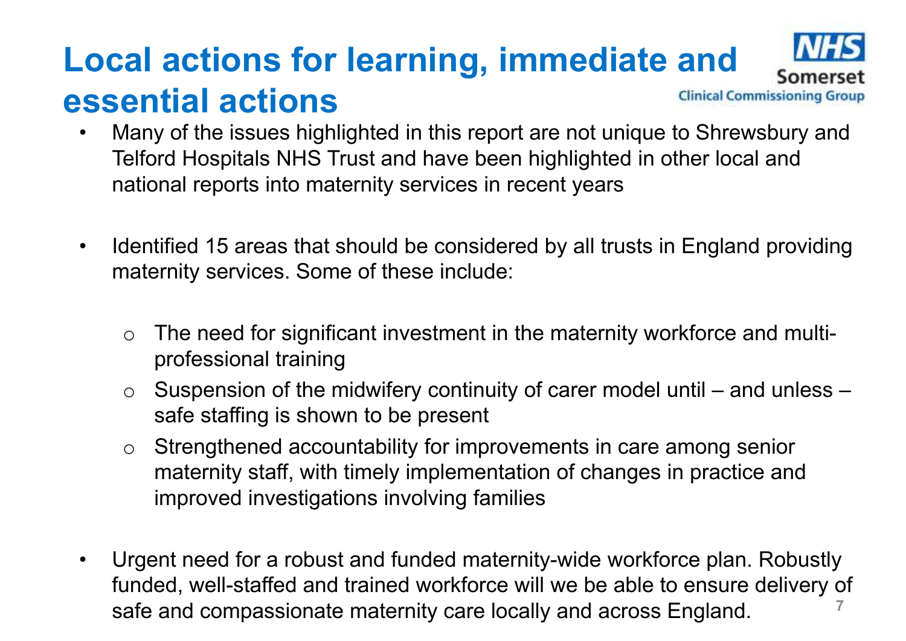### **Local actions for learning, immediate and essential actionsClinical Commissioning Group**

- $\bullet$  Many of the issues highlighted in this report are not unique to Shrewsbury and Telford Hospitals NHS Trust and have been highlighted in other local and national reports into maternity services in recent years
- $\bullet$  Identified 15 areas that should be considered by all trusts in England providing maternity services. Some of these include:
	- o The need for significant investment in the maternity workforce and multiprofessional training
	- $\Omega$  Suspension of the midwifery continuity of carer model until – and unless – safe staffing is shown to be present
	- $\Omega$  Strengthened accountability for improvements in care among senior maternity staff, with timely implementation of changes in practice and improved investigations involving families
- • Urgent need for a robust and funded maternity-wide workforce plan. Robustly funded, well-staffed and trained workforce will we be able to ensure delivery of safe and compassionate maternity care locally and across England.**7**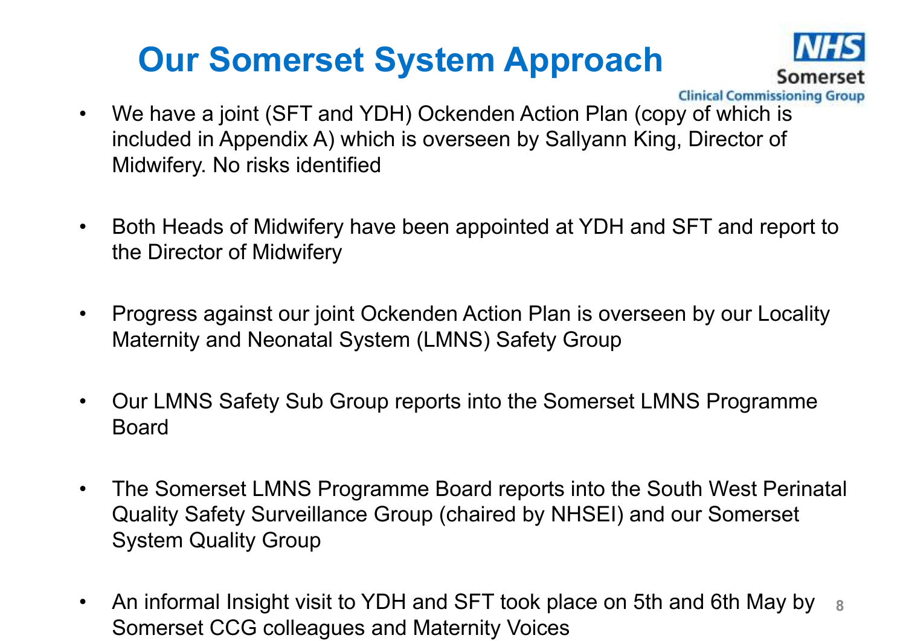### **Our Somerset System Approach**



- **Clinical Commissioning Group**
- $\bullet$  We have a joint (SFT and YDH) Ockenden Action Plan (copy of which is included in Appendix A) which is overseen by Sallyann King, Director of Midwifery. No risks identified
- $\bullet$  Both Heads of Midwifery have been appointed at YDH and SFT and report to the Director of Midwifery
- $\bullet$  Progress against our joint Ockenden Action Plan is overseen by our Locality Maternity and Neonatal System (LMNS) Safety Group
- $\bullet$  Our LMNS Safety Sub Group reports into the Somerset LMNS Programme Board
- $\bullet$  The Somerset LMNS Programme Board reports into the South West Perinatal Quality Safety Surveillance Group (chaired by NHSEI) and our Somerset System Quality Group
- $\bullet$  An informal Insight visit to YDH and SFT took place on 5th and 6th May by Somerset CCG colleagues and Maternity Voices **8**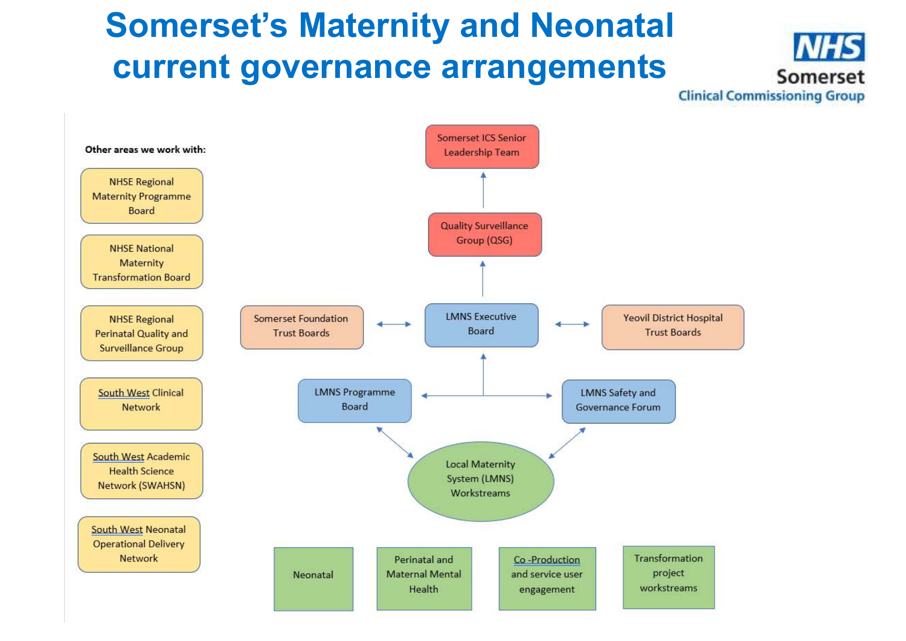### **Somerset's Maternity and Neonatal current governance arrangements**



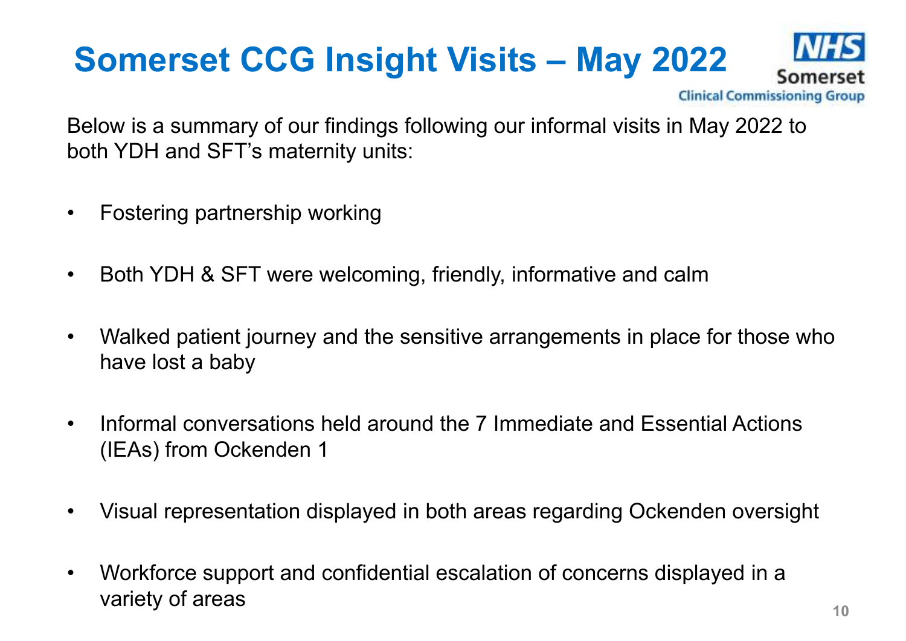# **Somerset CCG Insight Visits – May 2022**<br> **Somerset** Commissioning Group



Below is a summary of our findings following our informal visits in May 2022 to both YDH and SFT's maternity units:

- $\bullet$ Fostering partnership working
- •Both YDH & SFT were welcoming, friendly, informative and calm
- • Walked patient journey and the sensitive arrangements in place for those who have lost a baby
- • Informal conversations held around the 7 Immediate and Essential Actions (IEAs) from Ockenden 1
- •Visual representation displayed in both areas regarding Ockenden oversight
- $\bullet$  Workforce support and confidential escalation of concerns displayed in a variety of areas**10**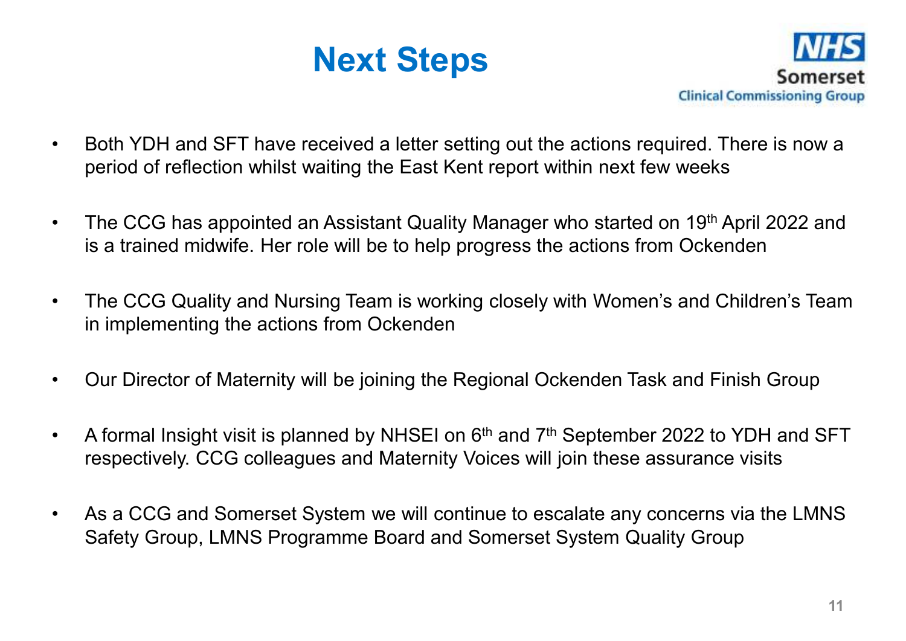



- • Both YDH and SFT have received a letter setting out the actions required. There is now a period of reflection whilst waiting the East Kent report within next few weeks
- • The CCG has appointed an Assistant Quality Manager who started on 19th April 2022 and is a trained midwife. Her role will be to help progress the actions from Ockenden
- • The CCG Quality and Nursing Team is working closely with Women's and Children's Team in implementing the actions from Ockenden
- •Our Director of Maternity will be joining the Regional Ockenden Task and Finish Group
- •A formal Insight visit is planned by NHSEI on  $6<sup>th</sup>$  and  $7<sup>th</sup>$  September 2022 to YDH and SFT respectively. CCG colleagues and Maternity Voices will join these assurance visits
- • As a CCG and Somerset System we will continue to escalate any concerns via the LMNS Safety Group, LMNS Programme Board and Somerset System Quality Group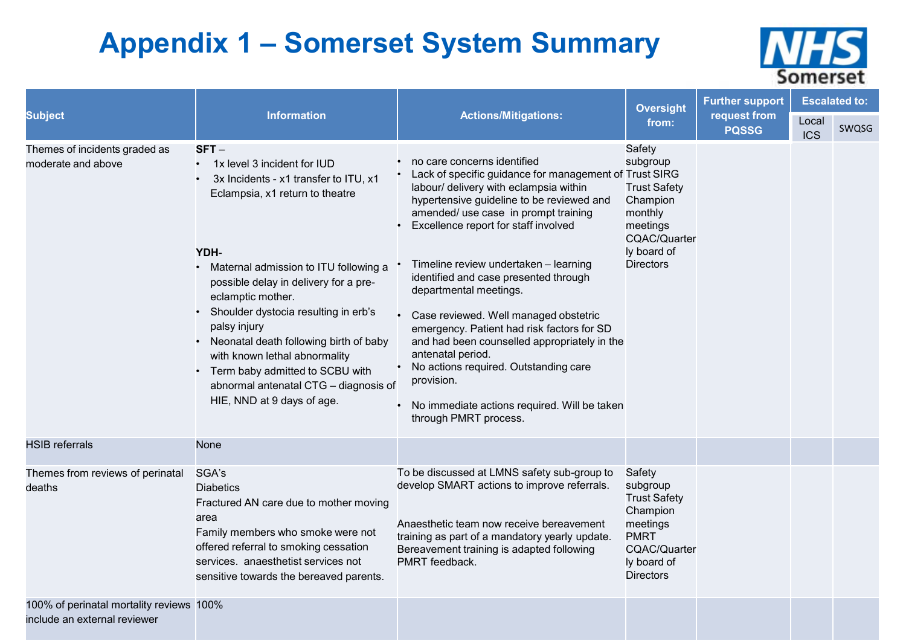### **Appendix 1 – Somerset System Summary**



|                                                                          |                                                                                                                                                                                                                                                                                                                                                                                                                                                                                                                             |                                                                                                                                                                                                                                                                                                                                                                                                                                                                                                                                                                                                                                                                            | <b>Oversight</b>                                                                                                                           | <b>Further support</b>       | <b>Escalated to:</b> |       |  |
|--------------------------------------------------------------------------|-----------------------------------------------------------------------------------------------------------------------------------------------------------------------------------------------------------------------------------------------------------------------------------------------------------------------------------------------------------------------------------------------------------------------------------------------------------------------------------------------------------------------------|----------------------------------------------------------------------------------------------------------------------------------------------------------------------------------------------------------------------------------------------------------------------------------------------------------------------------------------------------------------------------------------------------------------------------------------------------------------------------------------------------------------------------------------------------------------------------------------------------------------------------------------------------------------------------|--------------------------------------------------------------------------------------------------------------------------------------------|------------------------------|----------------------|-------|--|
| <b>Subject</b>                                                           | <b>Information</b>                                                                                                                                                                                                                                                                                                                                                                                                                                                                                                          | <b>Actions/Mitigations:</b>                                                                                                                                                                                                                                                                                                                                                                                                                                                                                                                                                                                                                                                | from:                                                                                                                                      | request from<br><b>PQSSG</b> | Local<br><b>ICS</b>  | SWQSG |  |
| Themes of incidents graded as<br>moderate and above                      | $SFT -$<br>1x level 3 incident for IUD<br>$\bullet$<br>3x Incidents - x1 transfer to ITU, x1<br>$\bullet$<br>Eclampsia, x1 return to theatre<br>YDH-<br>• Maternal admission to ITU following a<br>possible delay in delivery for a pre-<br>eclamptic mother.<br>• Shoulder dystocia resulting in erb's<br>palsy injury<br>Neonatal death following birth of baby<br>$\bullet$<br>with known lethal abnormality<br>• Term baby admitted to SCBU with<br>abnormal antenatal CTG - diagnosis of<br>HIE, NND at 9 days of age. | no care concerns identified<br>• Lack of specific guidance for management of Trust SIRG<br>labour/ delivery with eclampsia within<br>hypertensive guideline to be reviewed and<br>amended/ use case in prompt training<br>Excellence report for staff involved<br>Timeline review undertaken - learning<br>identified and case presented through<br>departmental meetings.<br>• Case reviewed. Well managed obstetric<br>emergency. Patient had risk factors for SD<br>and had been counselled appropriately in the<br>antenatal period.<br>No actions required. Outstanding care<br>provision.<br>• No immediate actions required. Will be taken<br>through PMRT process. | Safety<br>subgroup<br><b>Trust Safety</b><br>Champion<br>monthly<br>meetings<br><b>CQAC/Quarter</b><br>ly board of<br><b>Directors</b>     |                              |                      |       |  |
| <b>HSIB</b> referrals                                                    | None                                                                                                                                                                                                                                                                                                                                                                                                                                                                                                                        |                                                                                                                                                                                                                                                                                                                                                                                                                                                                                                                                                                                                                                                                            |                                                                                                                                            |                              |                      |       |  |
| Themes from reviews of perinatal<br>deaths                               | SGA's<br><b>Diabetics</b><br>Fractured AN care due to mother moving<br>area<br>Family members who smoke were not<br>offered referral to smoking cessation<br>services. anaesthetist services not<br>sensitive towards the bereaved parents.                                                                                                                                                                                                                                                                                 | To be discussed at LMNS safety sub-group to<br>develop SMART actions to improve referrals.<br>Anaesthetic team now receive bereavement<br>training as part of a mandatory yearly update.<br>Bereavement training is adapted following<br>PMRT feedback.                                                                                                                                                                                                                                                                                                                                                                                                                    | Safety<br>subgroup<br><b>Trust Safety</b><br>Champion<br>meetings<br><b>PMRT</b><br><b>CQAC/Quarter</b><br>ly board of<br><b>Directors</b> |                              |                      |       |  |
| 100% of perinatal mortality reviews 100%<br>include an external reviewer |                                                                                                                                                                                                                                                                                                                                                                                                                                                                                                                             |                                                                                                                                                                                                                                                                                                                                                                                                                                                                                                                                                                                                                                                                            |                                                                                                                                            |                              |                      |       |  |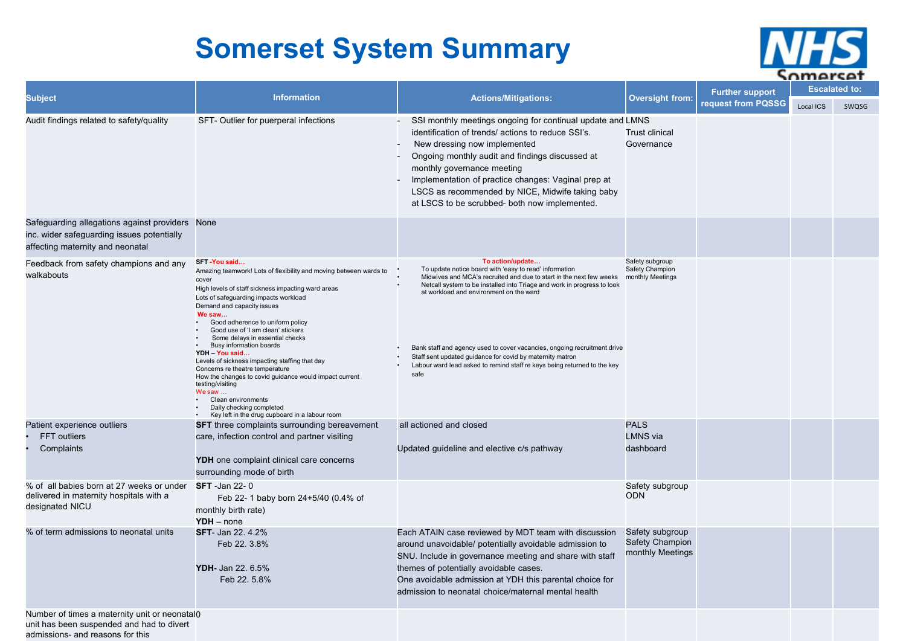### **Somerset System Summary**



| <b>Subject</b>                                                                                                                    | <b>Information</b>                                                                                                                                                                                                                                                                                                                                                                                                                                                                                                                                                                                                                                                           | <b>Actions/Mitigations:</b>                                                                                                                                                                                                                                                                                                                                                                                                                                                                          | <b>Oversight from:</b>                                 | <b>Further support</b> | ----<br><b>Escalated to:</b> |       |
|-----------------------------------------------------------------------------------------------------------------------------------|------------------------------------------------------------------------------------------------------------------------------------------------------------------------------------------------------------------------------------------------------------------------------------------------------------------------------------------------------------------------------------------------------------------------------------------------------------------------------------------------------------------------------------------------------------------------------------------------------------------------------------------------------------------------------|------------------------------------------------------------------------------------------------------------------------------------------------------------------------------------------------------------------------------------------------------------------------------------------------------------------------------------------------------------------------------------------------------------------------------------------------------------------------------------------------------|--------------------------------------------------------|------------------------|------------------------------|-------|
|                                                                                                                                   |                                                                                                                                                                                                                                                                                                                                                                                                                                                                                                                                                                                                                                                                              |                                                                                                                                                                                                                                                                                                                                                                                                                                                                                                      |                                                        | request from PQSSG     | Local ICS                    | SWQSG |
| Audit findings related to safety/quality                                                                                          | SFT- Outlier for puerperal infections                                                                                                                                                                                                                                                                                                                                                                                                                                                                                                                                                                                                                                        | SSI monthly meetings ongoing for continual update and LMNS<br>identification of trends/ actions to reduce SSI's.<br>New dressing now implemented<br>Ongoing monthly audit and findings discussed at<br>monthly governance meeting<br>Implementation of practice changes: Vaginal prep at<br>LSCS as recommended by NICE, Midwife taking baby<br>at LSCS to be scrubbed- both now implemented.                                                                                                        | <b>Trust clinical</b><br>Governance                    |                        |                              |       |
| Safeguarding allegations against providers None<br>inc. wider safeguarding issues potentially<br>affecting maternity and neonatal |                                                                                                                                                                                                                                                                                                                                                                                                                                                                                                                                                                                                                                                                              |                                                                                                                                                                                                                                                                                                                                                                                                                                                                                                      |                                                        |                        |                              |       |
| Feedback from safety champions and any<br>walkabouts                                                                              | SFT -You said<br>Amazing teamwork! Lots of flexibility and moving between wards to<br>cover<br>High levels of staff sickness impacting ward areas<br>Lots of safeguarding impacts workload<br>Demand and capacity issues<br>We saw<br>Good adherence to uniform policy<br>Good use of 'I am clean' stickers<br>Some delays in essential checks<br>Busy information boards<br>YDH - You said<br>Levels of sickness impacting staffing that day<br>Concerns re theatre temperature<br>How the changes to covid guidance would impact current<br>testing/visiting<br>We saw<br>Clean environments<br>Daily checking completed<br>Key left in the drug cupboard in a labour room | To action/update<br>To update notice board with 'easy to read' information<br>Midwives and MCA's recruited and due to start in the next few weeks<br>Netcall system to be installed into Triage and work in progress to look<br>at workload and environment on the ward<br>Bank staff and agency used to cover vacancies, ongoing recruitment drive<br>Staff sent updated guidance for covid by maternity matron<br>Labour ward lead asked to remind staff re keys being returned to the key<br>safe | Safety subgroup<br>Safety Champion<br>monthly Meetings |                        |                              |       |
| Patient experience outliers<br>FFT outliers<br>Complaints                                                                         | <b>SFT</b> three complaints surrounding bereavement<br>care, infection control and partner visiting                                                                                                                                                                                                                                                                                                                                                                                                                                                                                                                                                                          | all actioned and closed<br>Updated guideline and elective c/s pathway                                                                                                                                                                                                                                                                                                                                                                                                                                | <b>PALS</b><br><b>LMNS</b> via<br>dashboard            |                        |                              |       |
|                                                                                                                                   | YDH one complaint clinical care concerns<br>surrounding mode of birth                                                                                                                                                                                                                                                                                                                                                                                                                                                                                                                                                                                                        |                                                                                                                                                                                                                                                                                                                                                                                                                                                                                                      |                                                        |                        |                              |       |
| % of all babies born at 27 weeks or under<br>delivered in maternity hospitals with a<br>designated NICU                           | <b>SFT</b> -Jan 22-0<br>Feb 22- 1 baby born 24+5/40 (0.4% of<br>monthly birth rate)<br>$YDH$ – none                                                                                                                                                                                                                                                                                                                                                                                                                                                                                                                                                                          |                                                                                                                                                                                                                                                                                                                                                                                                                                                                                                      | Safety subgroup<br><b>ODN</b>                          |                        |                              |       |
| % of term admissions to neonatal units                                                                                            | <b>SFT-</b> Jan 22. 4.2%<br>Feb 22. 3.8%<br>YDH- Jan 22. 6.5%<br>Feb 22. 5.8%                                                                                                                                                                                                                                                                                                                                                                                                                                                                                                                                                                                                | Each ATAIN case reviewed by MDT team with discussion<br>around unavoidable/ potentially avoidable admission to<br>SNU. Include in governance meeting and share with staff<br>themes of potentially avoidable cases.<br>One avoidable admission at YDH this parental choice for<br>admission to neonatal choice/maternal mental health                                                                                                                                                                | Safety subgroup<br>Safety Champion<br>monthly Meetings |                        |                              |       |
| Number of times a maternity unit or neonatal0<br>unit has been suspended and had to divert<br>admissions- and reasons for this    |                                                                                                                                                                                                                                                                                                                                                                                                                                                                                                                                                                                                                                                                              |                                                                                                                                                                                                                                                                                                                                                                                                                                                                                                      |                                                        |                        |                              |       |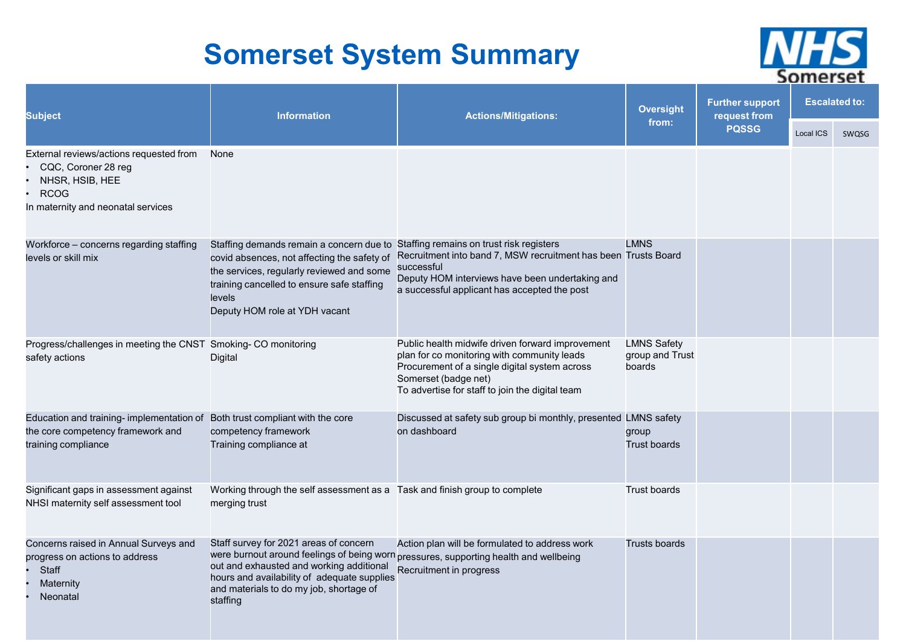### **Somerset System Summary**



| <b>Subject</b>                                                                                                                         | <b>Information</b>                                                                                                                                                                                                            | <b>Actions/Mitigations:</b>                                                                                                                                                                                                 | <b>Oversight</b>                                | <b>Further support</b><br>request from | <b>Escalated to:</b> |       |
|----------------------------------------------------------------------------------------------------------------------------------------|-------------------------------------------------------------------------------------------------------------------------------------------------------------------------------------------------------------------------------|-----------------------------------------------------------------------------------------------------------------------------------------------------------------------------------------------------------------------------|-------------------------------------------------|----------------------------------------|----------------------|-------|
|                                                                                                                                        |                                                                                                                                                                                                                               |                                                                                                                                                                                                                             | from:                                           | <b>PQSSG</b>                           | Local ICS            | SWQSG |
| External reviews/actions requested from<br>CQC, Coroner 28 reg<br>NHSR, HSIB, HEE<br><b>RCOG</b><br>In maternity and neonatal services | None                                                                                                                                                                                                                          |                                                                                                                                                                                                                             |                                                 |                                        |                      |       |
| Workforce - concerns regarding staffing<br>levels or skill mix                                                                         | Staffing demands remain a concern due to<br>covid absences, not affecting the safety of<br>the services, regularly reviewed and some<br>training cancelled to ensure safe staffing<br>levels<br>Deputy HOM role at YDH vacant | Staffing remains on trust risk registers<br>Recruitment into band 7, MSW recruitment has been Trusts Board<br>successful<br>Deputy HOM interviews have been undertaking and<br>a successful applicant has accepted the post | <b>LMNS</b>                                     |                                        |                      |       |
| Progress/challenges in meeting the CNST Smoking-CO monitoring<br>safety actions                                                        | Digital                                                                                                                                                                                                                       | Public health midwife driven forward improvement<br>plan for co monitoring with community leads<br>Procurement of a single digital system across<br>Somerset (badge net)<br>To advertise for staff to join the digital team | <b>LMNS Safety</b><br>group and Trust<br>boards |                                        |                      |       |
| Education and training- implementation of<br>the core competency framework and<br>training compliance                                  | Both trust compliant with the core<br>competency framework<br>Training compliance at                                                                                                                                          | Discussed at safety sub group bi monthly, presented LMNS safety<br>on dashboard                                                                                                                                             | group<br><b>Trust boards</b>                    |                                        |                      |       |
| Significant gaps in assessment against<br>NHSI maternity self assessment tool                                                          | Working through the self assessment as a Task and finish group to complete<br>merging trust                                                                                                                                   |                                                                                                                                                                                                                             | Trust boards                                    |                                        |                      |       |
| Concerns raised in Annual Surveys and<br>progress on actions to address<br><b>Staff</b><br><b>Maternity</b><br>Neonatal                | Staff survey for 2021 areas of concern<br>out and exhausted and working additional<br>hours and availability of adequate supplies<br>and materials to do my job, shortage of<br>staffing                                      | Action plan will be formulated to address work<br>were burnout around feelings of being worn pressures, supporting health and wellbeing<br>Recruitment in progress                                                          | Trusts boards                                   |                                        |                      |       |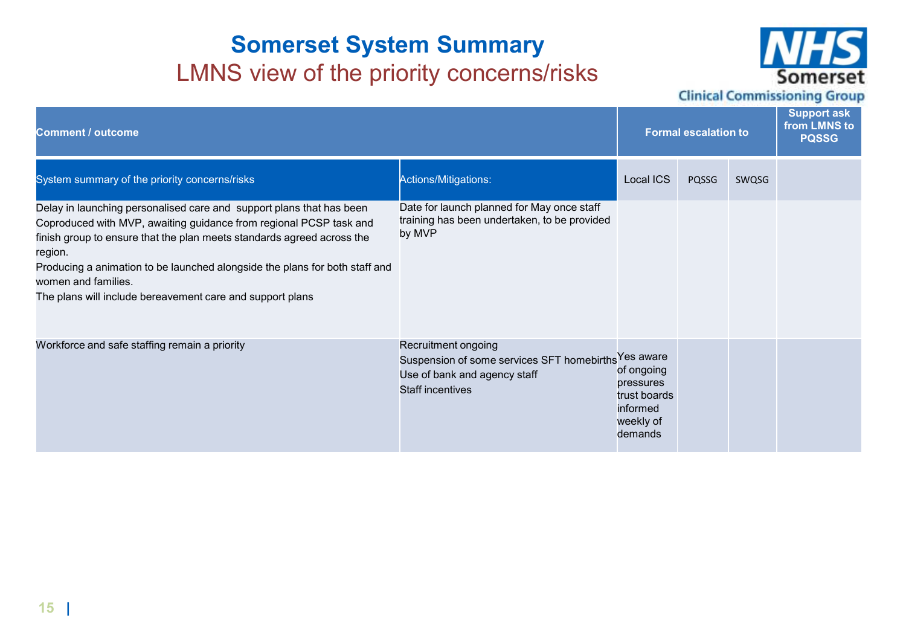### **Somerset System Summary**LMNS view of the priority concerns/risks



**Clinical Commissioning Group** 

| <b>Comment / outcome</b>                                                                                                                                                                                                                                                                                                                                                                           | <b>Formal escalation to</b>                                                                                                            |                                                                             |       | <b>Support ask</b><br>from LMNS to<br><b>PQSSG</b> |  |
|----------------------------------------------------------------------------------------------------------------------------------------------------------------------------------------------------------------------------------------------------------------------------------------------------------------------------------------------------------------------------------------------------|----------------------------------------------------------------------------------------------------------------------------------------|-----------------------------------------------------------------------------|-------|----------------------------------------------------|--|
| System summary of the priority concerns/risks                                                                                                                                                                                                                                                                                                                                                      | Actions/Mitigations:                                                                                                                   | Local ICS                                                                   | PQSSG | SWQSG                                              |  |
| Delay in launching personalised care and support plans that has been<br>Coproduced with MVP, awaiting guidance from regional PCSP task and<br>finish group to ensure that the plan meets standards agreed across the<br>region.<br>Producing a animation to be launched alongside the plans for both staff and<br>women and families.<br>The plans will include bereavement care and support plans | Date for launch planned for May once staff<br>training has been undertaken, to be provided<br>by MVP                                   |                                                                             |       |                                                    |  |
| Workforce and safe staffing remain a priority                                                                                                                                                                                                                                                                                                                                                      | Recruitment ongoing<br>Suspension of some services SFT homebirths Yes aware<br>Use of bank and agency staff<br><b>Staff incentives</b> | of ongoing<br>pressures<br>trust boards<br>informed<br>weekly of<br>demands |       |                                                    |  |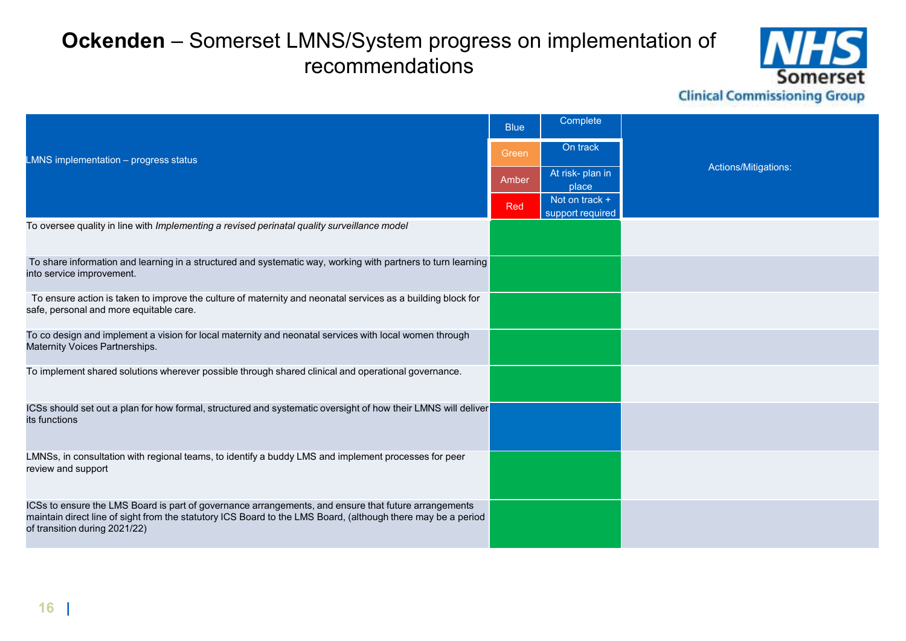### **Ockenden** – Somerset LMNS/System progress on implementation of recommendations



**Clinical Commissioning Group** 

| <b>Blue</b>                                                                                                 | Complete                                                                                                                                                                                                                                                                                                                                      |                      |
|-------------------------------------------------------------------------------------------------------------|-----------------------------------------------------------------------------------------------------------------------------------------------------------------------------------------------------------------------------------------------------------------------------------------------------------------------------------------------|----------------------|
| Green                                                                                                       | On track                                                                                                                                                                                                                                                                                                                                      |                      |
| Amber                                                                                                       | At risk- plan in<br>place                                                                                                                                                                                                                                                                                                                     | Actions/Mitigations: |
| Red                                                                                                         | Not on track +<br>support required                                                                                                                                                                                                                                                                                                            |                      |
|                                                                                                             |                                                                                                                                                                                                                                                                                                                                               |                      |
|                                                                                                             |                                                                                                                                                                                                                                                                                                                                               |                      |
|                                                                                                             |                                                                                                                                                                                                                                                                                                                                               |                      |
|                                                                                                             |                                                                                                                                                                                                                                                                                                                                               |                      |
|                                                                                                             |                                                                                                                                                                                                                                                                                                                                               |                      |
|                                                                                                             |                                                                                                                                                                                                                                                                                                                                               |                      |
|                                                                                                             |                                                                                                                                                                                                                                                                                                                                               |                      |
|                                                                                                             |                                                                                                                                                                                                                                                                                                                                               |                      |
| To ensure action is taken to improve the culture of maternity and neonatal services as a building block for | To share information and learning in a structured and systematic way, working with partners to turn learning<br>ICSs should set out a plan for how formal, structured and systematic oversight of how their LMNS will deliver<br>maintain direct line of sight from the statutory ICS Board to the LMS Board, (although there may be a period |                      |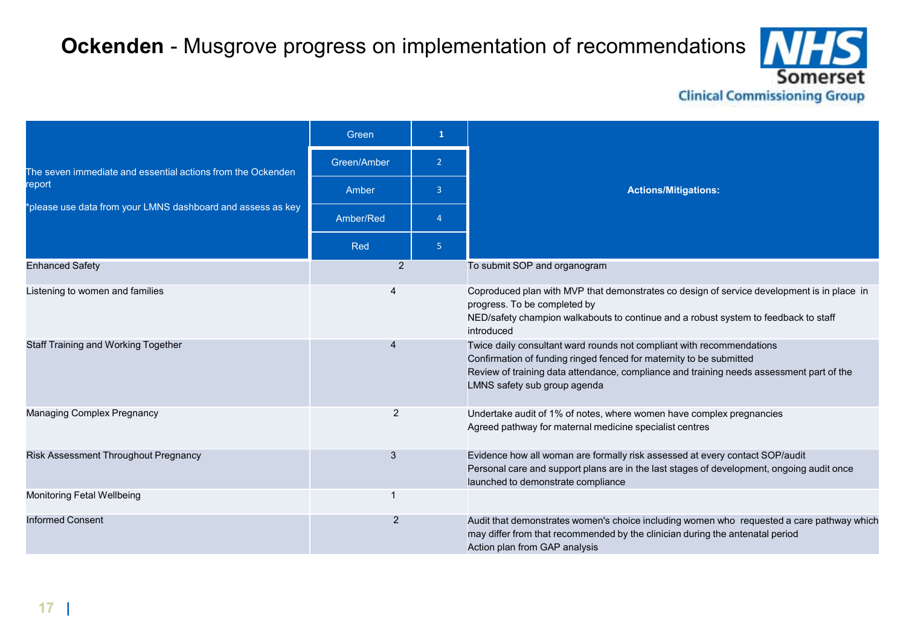### **Ockenden** - Musgrove progress on implementation of recommendations

5 **nerset Clinical Commissioning Group** 

|                                                                       | Green          | $\mathbf{1}$   |                                                                                                                                                                                                                                                                          |  |                                                                                                                                                                                                                 |
|-----------------------------------------------------------------------|----------------|----------------|--------------------------------------------------------------------------------------------------------------------------------------------------------------------------------------------------------------------------------------------------------------------------|--|-----------------------------------------------------------------------------------------------------------------------------------------------------------------------------------------------------------------|
| The seven immediate and essential actions from the Ockenden<br>report | Green/Amber    | $\overline{2}$ |                                                                                                                                                                                                                                                                          |  |                                                                                                                                                                                                                 |
|                                                                       | Amber          | 3              | <b>Actions/Mitigations:</b>                                                                                                                                                                                                                                              |  |                                                                                                                                                                                                                 |
| *please use data from your LMNS dashboard and assess as key           | Amber/Red      | $\Delta$       |                                                                                                                                                                                                                                                                          |  |                                                                                                                                                                                                                 |
|                                                                       | Red            | $\overline{5}$ |                                                                                                                                                                                                                                                                          |  |                                                                                                                                                                                                                 |
| <b>Enhanced Safety</b>                                                | $\overline{2}$ |                | To submit SOP and organogram                                                                                                                                                                                                                                             |  |                                                                                                                                                                                                                 |
| Listening to women and families                                       |                |                | Coproduced plan with MVP that demonstrates co design of service development is in place in<br>progress. To be completed by<br>NED/safety champion walkabouts to continue and a robust system to feedback to staff<br>introduced                                          |  |                                                                                                                                                                                                                 |
| <b>Staff Training and Working Together</b>                            |                |                | Twice daily consultant ward rounds not compliant with recommendations<br>Confirmation of funding ringed fenced for maternity to be submitted<br>Review of training data attendance, compliance and training needs assessment part of the<br>LMNS safety sub group agenda |  |                                                                                                                                                                                                                 |
| <b>Managing Complex Pregnancy</b>                                     | 2              |                | Undertake audit of 1% of notes, where women have complex pregnancies<br>Agreed pathway for maternal medicine specialist centres                                                                                                                                          |  |                                                                                                                                                                                                                 |
| Risk Assessment Throughout Pregnancy                                  | 3              |                |                                                                                                                                                                                                                                                                          |  | Evidence how all woman are formally risk assessed at every contact SOP/audit<br>Personal care and support plans are in the last stages of development, ongoing audit once<br>launched to demonstrate compliance |
| Monitoring Fetal Wellbeing                                            | -1             |                |                                                                                                                                                                                                                                                                          |  |                                                                                                                                                                                                                 |
| <b>Informed Consent</b>                                               | 2              |                | Audit that demonstrates women's choice including women who requested a care pathway which<br>may differ from that recommended by the clinician during the antenatal period<br>Action plan from GAP analysis                                                              |  |                                                                                                                                                                                                                 |